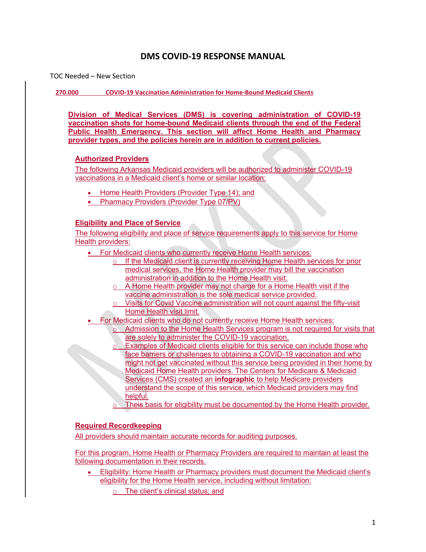# DMS COVID-19 RESPONSE MANUAL

TOC Needed – New Section

270.000 COVID-19 Vaccination Administration for Home-Bound Medicaid Clients

Division of Medical Services (DMS) is covering administration of COVID-19 vaccination shots for home-bound Medicaid clients through the end of the Federal Public Health Emergency. This section will affect Home Health and Pharmacy provider types, and the policies herein are in addition to current policies.

## Authorized Providers

The following Arkansas Medicaid providers will be authorized to administer COVID-19 vaccinations in a Medicaid client's home or similar location:

- Home Health Providers (Provider Type 14); and
- Pharmacy Providers (Provider Type 07/PV)

#### Eligibility and Place of Service

The following eligibility and place of service requirements apply to this service for Home Health providers:

- For Medicaid clients who currently receive Home Health services:
	- o If the Medicaid client is currently receiving Home Health services for prior medical services, the Home Health provider may bill the vaccination administration in addition to the Home Health visit.
	- o A Home Health provider may not charge for a Home Health visit if the vaccine administration is the sole medical service provided.
	- o Visits for Covid Vaccine administration will not count against the fifty-visit Home Health visit limit.
	- For Medicaid clients who do not currently receive Home Health services:
		- Admission to the Home Health Services program is not required for visits that are solely to administer the COVID-19 vaccination.
- Examples of Medicaid clients eligible for this service can include those who face barriers or challenges to obtaining a COVID-19 vaccination and who might not get vaccinated without this service being provided in their home by Medicaid Home Health providers. The Centers for Medicare & Medicaid Services (CMS) created an infographic to help Medicare providers understand the scope of this service, which Medicaid providers may find helpful. vaccine administration is the sole medical service provided.<br>
2 Visits for Cowld Vaccine administration will not count against the fifty-visit<br>
Home Health Visit limit,<br>
For Medicaid clients who do not currently receive
	- $\circ$  Theis basis for eligibility must be documented by the Home Health provider.

# Required Recordkeeping

All providers should maintain accurate records for auditing purposes.

For this program, Home Health or Pharmacy Providers are required to maintain at least the following documentation in their records.

- eligibility for the Home Health service, including without limitation:
	- o The client's clinical status; and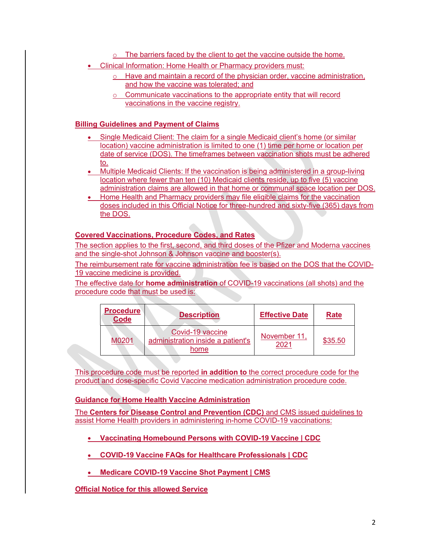- o The barriers faced by the client to get the vaccine outside the home.
- Clinical Information: Home Health or Pharmacy providers must:
- $\circ$  Have and maintain a record of the physician order, vaccine administration, The barriers faced by the client to get the vaccine outside the home.<br>
Information: Home Health or Pharmacy providers must:<br>
Have and maintain a record of the physician order, vaccine administration,<br>
and how the vaccine w
	- o Communicate vaccinations to the appropriate entity that will record vaccinations in the vaccine registry.

# Billing Guidelines and Payment of Claims

- Single Medicaid Clientics (The vaccine medical of the vaccine outside the home.<br>
Clincial Information: Home Health or Pharmacy providers must:<br>  $\frac{0}{\sqrt{1-\rho}}$  Have and maintain a record of the physician order, vaccine adm location) vaccine administration is limited to one (1) time per home or location per date of service (DOS). The timeframes between vaccination shots must be adhered to. The contract of the contract of the contract of the contract of the contract of the contract of the contract of the contract of the contract of the contract of the contract of the contract of the contract of the contra
- Multiple Medicaid Clients: If the vaccination is being administered in a group-living location where fewer than ten (10) Medicaid clients reside, up to five (5) vaccine administration claims are allowed in that home or communal space location per DOS.
- Home Health and Pharmacy providers may file eligible claims for the vaccination doses included in this Official Notice for three-hundred and sixty-five (365) days from the DOS.

## Covered Vaccinations, Procedure Codes, and Rates

The section applies to the first, second, and third doses of the Pfizer and Moderna vaccines and the single-shot Johnson & Johnson vaccine and booster(s).

The reimbursement rate for vaccine administration fee is based on the DOS that the COVID-19 vaccine medicine is provided.

The effective date for **home administration** of COVID-19 vaccinations (all shots) and the procedure code that must be used is:

| <b>Procedure</b><br><b>Code</b> | <b>Description</b>                                            | <b>Effective Date</b> | <b>Rate</b> |
|---------------------------------|---------------------------------------------------------------|-----------------------|-------------|
| M0201                           | Covid-19 vaccine<br>administration inside a patient's<br>home | November 11,<br>2021  | \$35.50     |

This procedure code must be reported in addition to the correct procedure code for the product and dose-specific Covid Vaccine medication administration procedure code.

## Guidance for Home Health Vaccine Administration

The Centers for Disease Control and Prevention (CDC) and CMS issued guidelines to assist Home Health providers in administering in-home COVID-19 vaccinations:

- Vaccinating Homebound Persons with COVID-19 Vaccine | CDC
- COVID-19 Vaccine FAQs for Healthcare Professionals | CDC
- Medicare COVID-19 Vaccine Shot Payment | CMS
- **Official Notice for this allowed Service**